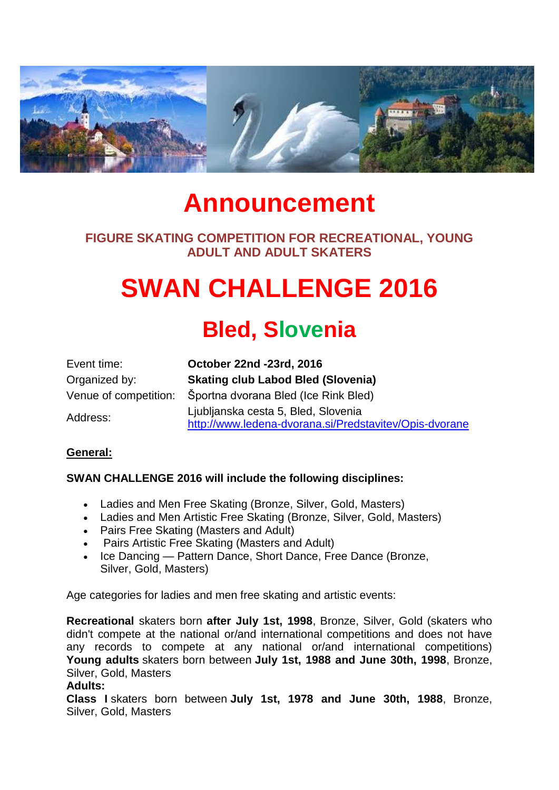

# **Announcement**

## **FIGURE SKATING COMPETITION FOR RECREATIONAL, YOUNG ADULT AND ADULT SKATERS**

# **SWAN CHALLENGE 2016**

# **Bled, Slovenia**

Event time: **October 22nd -23rd, 2016** Organized by: **Skating club Labod Bled (Slovenia)** Venue of competition: Športna dvorana Bled (Ice Rink Bled) Address: Ljubljanska cesta 5, Bled, Slovenia <http://www.ledena-dvorana.si/Predstavitev/Opis-dvorane>

## **General:**

## **SWAN CHALLENGE 2016 will include the following disciplines:**

- Ladies and Men Free Skating (Bronze, Silver, Gold, Masters)
- Ladies and Men Artistic Free Skating (Bronze, Silver, Gold, Masters)
- Pairs Free Skating (Masters and Adult)
- Pairs Artistic Free Skating (Masters and Adult)
- Ice Dancing Pattern Dance, Short Dance, Free Dance (Bronze, Silver, Gold, Masters)

Age categories for ladies and men free skating and artistic events:

**Recreational** skaters born **after July 1st, 1998**, Bronze, Silver, Gold (skaters who didn't compete at the national or/and international competitions and does not have any records to compete at any national or/and international competitions) **Young adults** skaters born between **July 1st, 1988 and June 30th, 1998**, Bronze, Silver, Gold, Masters

#### **Adults:**

**Class I** skaters born between **July 1st, 1978 and June 30th, 1988**, Bronze, Silver, Gold, Masters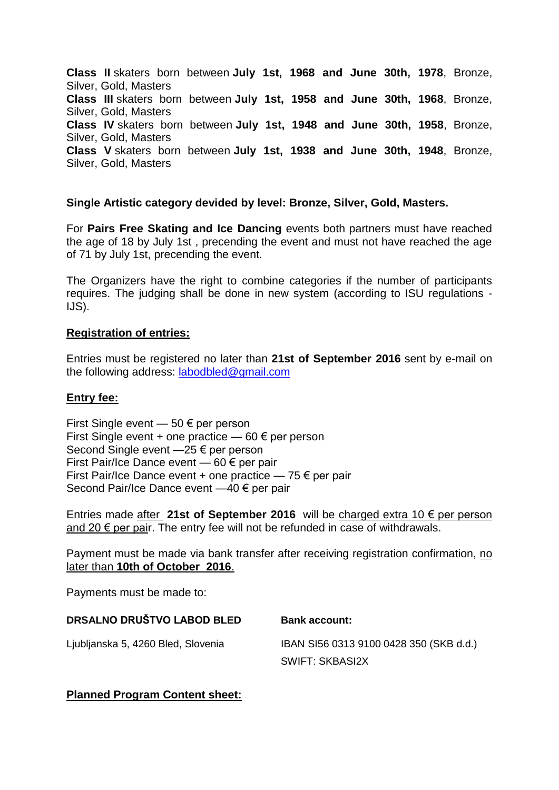**Class II** skaters born between **July 1st, 1968 and June 30th, 1978**, Bronze, Silver, Gold, Masters **Class III** skaters born between **July 1st, 1958 and June 30th, 1968**, Bronze, Silver, Gold, Masters **Class IV** skaters born between **July 1st, 1948 and June 30th, 1958**, Bronze, Silver, Gold, Masters **Class V** skaters born between **July 1st, 1938 and June 30th, 1948**, Bronze, Silver, Gold, Masters

## **Single Artistic category devided by level: Bronze, Silver, Gold, Masters.**

For **Pairs Free Skating and Ice Dancing** events both partners must have reached the age of 18 by July 1st , precending the event and must not have reached the age of 71 by July 1st, precending the event.

The Organizers have the right to combine categories if the number of participants requires. The judging shall be done in new system (according to ISU regulations - IJS).

#### **Registration of entries:**

Entries must be registered no later than **21st of September 2016** sent by e-mail on the following address: [labodbled@gmail.com](mailto:labodbled@gmail.com)

#### **Entry fee:**

First Single event —  $50 \text{ } \in$  per person First Single event + one practice  $-60 \in$  per person Second Single event —25 € per person First Pair/Ice Dance event — 60 € per pair First Pair/Ice Dance event + one practice  $-75 \notin$  per pair Second Pair/Ice Dance event —40 € per pair

Entries made after **21st of September 2016** will be charged extra 10 € per person and 20  $\epsilon$  per pair. The entry fee will not be refunded in case of withdrawals.

Payment must be made via bank transfer after receiving registration confirmation, no later than **10th of October 2016**.

Payments must be made to:

| DRSALNO DRUŠTVO LABOD BLED         | <b>Bank account:</b>                    |
|------------------------------------|-----------------------------------------|
| Ljubljanska 5, 4260 Bled, Slovenia | IBAN SI56 0313 9100 0428 350 (SKB d.d.) |
|                                    | <b>SWIFT: SKBASI2X</b>                  |

## **Planned Program Content sheet:**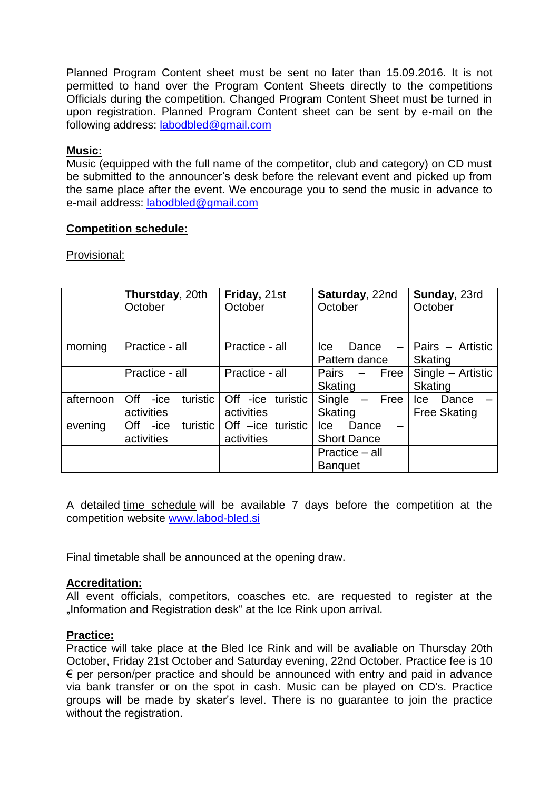Planned Program Content sheet must be sent no later than 15.09.2016. It is not permitted to hand over the Program Content Sheets directly to the competitions Officials during the competition. Changed Program Content Sheet must be turned in upon registration. Planned Program Content sheet can be sent by e-mail on the following address: [labodbled@gmail.com](mailto:labodbled@gmail.com)

#### **Music:**

Music (equipped with the full name of the competitor, club and category) on CD must be submitted to the announcer's desk before the relevant event and picked up from the same place after the event. We encourage you to send the music in advance to e-mail address: [labodbled@gmail.com](mailto:labodbled@gmail.com)

## **Competition schedule:**

## Provisional:

|           | Thurstday, 20th<br>October | Friday, 21st<br>October | Saturday, 22nd<br>October          | Sunday, 23rd<br>October |
|-----------|----------------------------|-------------------------|------------------------------------|-------------------------|
| morning   | Practice - all             | Practice - all          | Dance<br>lce.<br>$\qquad \qquad -$ | Pairs - Artistic        |
|           |                            |                         | Pattern dance                      | Skating                 |
|           | Practice - all             | Practice - all          | Pairs - Free                       | Single - Artistic       |
|           |                            |                         | Skating                            | Skating                 |
| afternoon | turistic<br>Off<br>-ice    | turistic<br>Off -ice    | Single<br>Free<br>$-$              | Dance<br>Ice            |
|           | activities                 | activities              | Skating                            | <b>Free Skating</b>     |
| evening   | turistic<br>-ice<br>Off    | Off -ice turistic       | Dance<br>lce.                      |                         |
|           | activities<br>activities   |                         | <b>Short Dance</b>                 |                         |
|           |                            |                         | Practice – all                     |                         |
|           |                            |                         | <b>Banquet</b>                     |                         |

A detailed [time schedule](http://junacup.juna.ee/archive/2015/index.php?link=schedule) will be available 7 days before the competition at the competition website [www.labod-bled.si](http://www.labod-bled.si/)

Final timetable shall be announced at the opening draw.

#### **Accreditation:**

All event officials, competitors, coasches etc. are requested to register at the "Information and Registration desk" at the Ice Rink upon arrival.

#### **Practice:**

Practice will take place at the Bled Ice Rink and will be avaliable on Thursday 20th October, Friday 21st October and Saturday evening, 22nd October. Practice fee is 10 € per person/per practice and should be announced with entry and paid in advance via bank transfer or on the spot in cash. Music can be played on CD's. Practice groups will be made by skater's level. There is no guarantee to join the practice without the registration.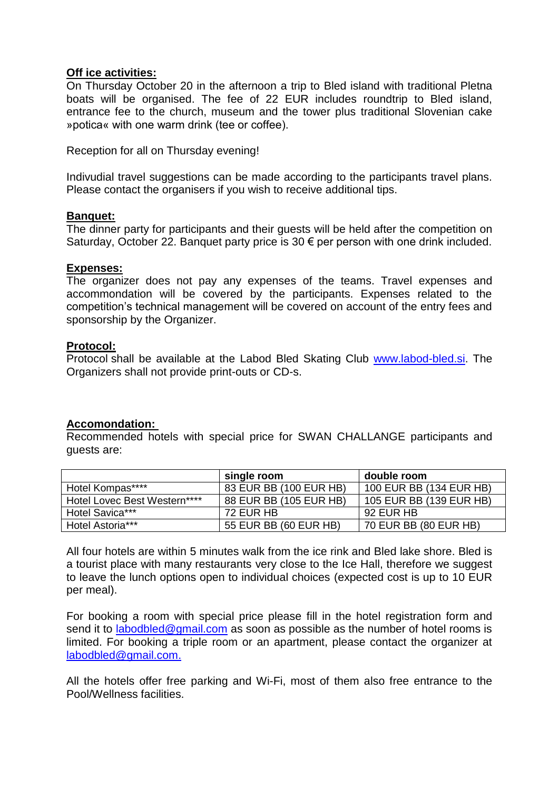## **Off ice activities:**

On Thursday October 20 in the afternoon a trip to Bled island with traditional Pletna boats will be organised. The fee of 22 EUR includes roundtrip to Bled island, entrance fee to the church, museum and the tower plus traditional Slovenian cake »potica« with one warm drink (tee or coffee).

Reception for all on Thursday evening!

Indivudial travel suggestions can be made according to the participants travel plans. Please contact the organisers if you wish to receive additional tips.

## **Banquet:**

The dinner party for participants and their guests will be held after the competition on Saturday, October 22. Banquet party price is 30  $\epsilon$  per person with one drink included.

## **Expenses:**

The organizer does not pay any expenses of the teams. Travel expenses and accommondation will be covered by the participants. Expenses related to the competition's technical management will be covered on account of the entry fees and sponsorship by the Organizer.

## **Protocol:**

[Protocol](http://junacup.juna.ee/index.php?link=results) shall be available at the Labod Bled Skating Club [www.labod-bled.si.](http://www.labod-bled.si/) The Organizers shall not provide print-outs or CD-s.

## **Accomondation:**

Recommended hotels with special price for SWAN CHALLANGE participants and guests are:

|                              | single room            | double room             |
|------------------------------|------------------------|-------------------------|
| Hotel Kompas****             | 83 EUR BB (100 EUR HB) | 100 EUR BB (134 EUR HB) |
| Hotel Lovec Best Western**** | 88 EUR BB (105 EUR HB) | 105 EUR BB (139 EUR HB) |
| Hotel Savica***              | 72 EUR HB              | 92 EUR HB               |
| Hotel Astoria***             | 55 EUR BB (60 EUR HB)  | 70 EUR BB (80 EUR HB)   |

All four hotels are within 5 minutes walk from the ice rink and Bled lake shore. Bled is a tourist place with many restaurants very close to the Ice Hall, therefore we suggest to leave the lunch options open to individual choices (expected cost is up to 10 EUR per meal).

For booking a room with special price please fill in the hotel registration form and send it to [labodbled@gmail.com](mailto:labodbled@gmail.com) as soon as possible as the number of hotel rooms is limited. For booking a triple room or an apartment, please contact the organizer at [labodbled@gmail.com.](mailto:labodbled@gmail.com)

All the hotels offer free parking and Wi-Fi, most of them also free entrance to the Pool/Wellness facilities.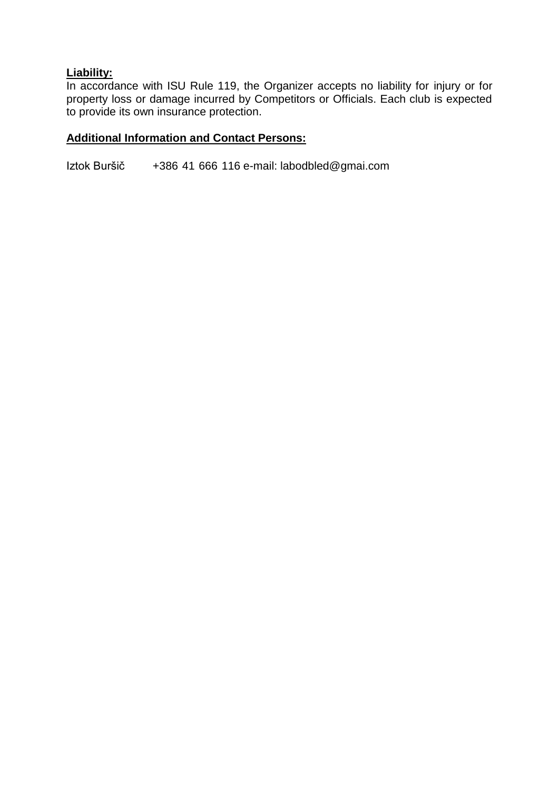## **Liability:**

In accordance with ISU Rule 119, the Organizer accepts no liability for injury or for property loss or damage incurred by Competitors or Officials. Each club is expected to provide its own insurance protection.

#### **Additional Information and Contact Persons:**

Iztok Buršič +386 41 666 116 e-mail: labodbled@gmai.com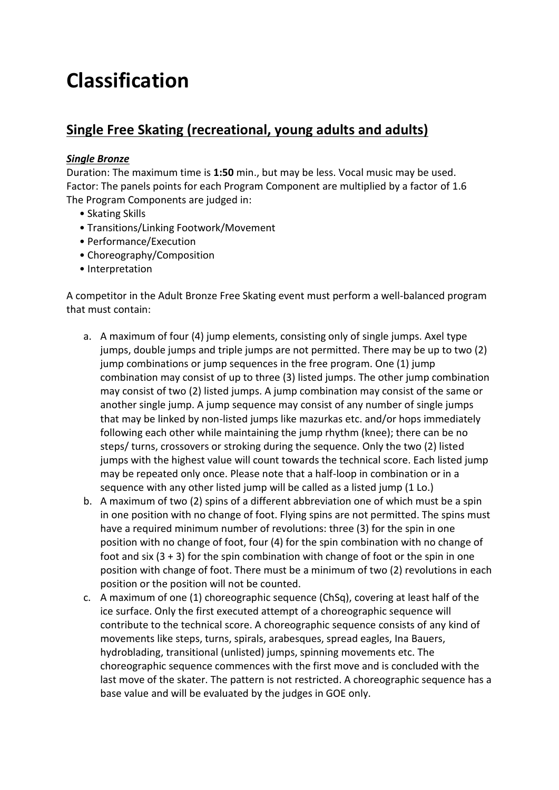# **Classification**

## **Single Free Skating (recreational, young adults and adults)**

## *Single Bronze*

Duration: The maximum time is **1:50** min., but may be less. Vocal music may be used. Factor: The panels points for each Program Component are multiplied by a factor of 1.6 The Program Components are judged in:

- Skating Skills
- Transitions/Linking Footwork/Movement
- Performance/Execution
- Choreography/Composition
- Interpretation

A competitor in the Adult Bronze Free Skating event must perform a well-balanced program that must contain:

- a. A maximum of four (4) jump elements, consisting only of single jumps. Axel type jumps, double jumps and triple jumps are not permitted. There may be up to two (2) jump combinations or jump sequences in the free program. One (1) jump combination may consist of up to three (3) listed jumps. The other jump combination may consist of two (2) listed jumps. A jump combination may consist of the same or another single jump. A jump sequence may consist of any number of single jumps that may be linked by non-listed jumps like mazurkas etc. and/or hops immediately following each other while maintaining the jump rhythm (knee); there can be no steps/ turns, crossovers or stroking during the sequence. Only the two (2) listed jumps with the highest value will count towards the technical score. Each listed jump may be repeated only once. Please note that a half-loop in combination or in a sequence with any other listed jump will be called as a listed jump (1 Lo.)
- b. A maximum of two (2) spins of a different abbreviation one of which must be a spin in one position with no change of foot. Flying spins are not permitted. The spins must have a required minimum number of revolutions: three (3) for the spin in one position with no change of foot, four (4) for the spin combination with no change of foot and six  $(3 + 3)$  for the spin combination with change of foot or the spin in one position with change of foot. There must be a minimum of two (2) revolutions in each position or the position will not be counted.
- c. A maximum of one (1) choreographic sequence (ChSq), covering at least half of the ice surface. Only the first executed attempt of a choreographic sequence will contribute to the technical score. A choreographic sequence consists of any kind of movements like steps, turns, spirals, arabesques, spread eagles, Ina Bauers, hydroblading, transitional (unlisted) jumps, spinning movements etc. The choreographic sequence commences with the first move and is concluded with the last move of the skater. The pattern is not restricted. A choreographic sequence has a base value and will be evaluated by the judges in GOE only.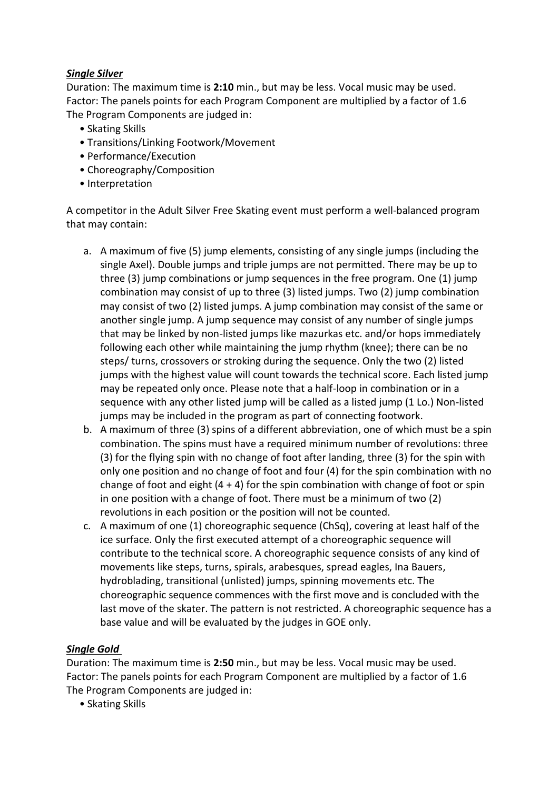## *Single Silver*

Duration: The maximum time is **2:10** min., but may be less. Vocal music may be used. Factor: The panels points for each Program Component are multiplied by a factor of 1.6 The Program Components are judged in:

- Skating Skills
- Transitions/Linking Footwork/Movement
- Performance/Execution
- Choreography/Composition
- Interpretation

A competitor in the Adult Silver Free Skating event must perform a well-balanced program that may contain:

- a. A maximum of five (5) jump elements, consisting of any single jumps (including the single Axel). Double jumps and triple jumps are not permitted. There may be up to three (3) jump combinations or jump sequences in the free program. One (1) jump combination may consist of up to three (3) listed jumps. Two (2) jump combination may consist of two (2) listed jumps. A jump combination may consist of the same or another single jump. A jump sequence may consist of any number of single jumps that may be linked by non-listed jumps like mazurkas etc. and/or hops immediately following each other while maintaining the jump rhythm (knee); there can be no steps/ turns, crossovers or stroking during the sequence. Only the two (2) listed jumps with the highest value will count towards the technical score. Each listed jump may be repeated only once. Please note that a half-loop in combination or in a sequence with any other listed jump will be called as a listed jump (1 Lo.) Non-listed jumps may be included in the program as part of connecting footwork.
- b. A maximum of three (3) spins of a different abbreviation, one of which must be a spin combination. The spins must have a required minimum number of revolutions: three (3) for the flying spin with no change of foot after landing, three (3) for the spin with only one position and no change of foot and four (4) for the spin combination with no change of foot and eight  $(4 + 4)$  for the spin combination with change of foot or spin in one position with a change of foot. There must be a minimum of two (2) revolutions in each position or the position will not be counted.
- c. A maximum of one (1) choreographic sequence (ChSq), covering at least half of the ice surface. Only the first executed attempt of a choreographic sequence will contribute to the technical score. A choreographic sequence consists of any kind of movements like steps, turns, spirals, arabesques, spread eagles, Ina Bauers, hydroblading, transitional (unlisted) jumps, spinning movements etc. The choreographic sequence commences with the first move and is concluded with the last move of the skater. The pattern is not restricted. A choreographic sequence has a base value and will be evaluated by the judges in GOE only.

## *Single Gold*

Duration: The maximum time is **2:50** min., but may be less. Vocal music may be used. Factor: The panels points for each Program Component are multiplied by a factor of 1.6 The Program Components are judged in:

• Skating Skills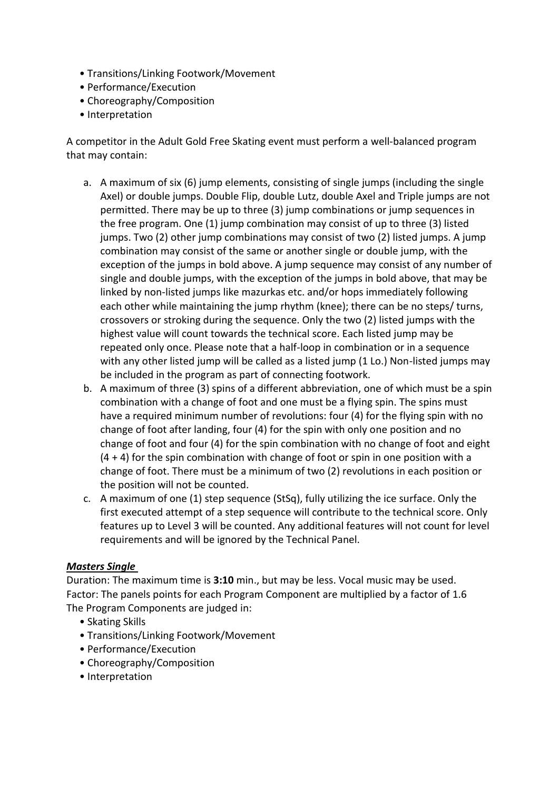- Transitions/Linking Footwork/Movement
- Performance/Execution
- Choreography/Composition
- Interpretation

A competitor in the Adult Gold Free Skating event must perform a well-balanced program that may contain:

- a. A maximum of six (6) jump elements, consisting of single jumps (including the single Axel) or double jumps. Double Flip, double Lutz, double Axel and Triple jumps are not permitted. There may be up to three (3) jump combinations or jump sequences in the free program. One (1) jump combination may consist of up to three (3) listed jumps. Two (2) other jump combinations may consist of two (2) listed jumps. A jump combination may consist of the same or another single or double jump, with the exception of the jumps in bold above. A jump sequence may consist of any number of single and double jumps, with the exception of the jumps in bold above, that may be linked by non-listed jumps like mazurkas etc. and/or hops immediately following each other while maintaining the jump rhythm (knee); there can be no steps/ turns, crossovers or stroking during the sequence. Only the two (2) listed jumps with the highest value will count towards the technical score. Each listed jump may be repeated only once. Please note that a half-loop in combination or in a sequence with any other listed jump will be called as a listed jump (1 Lo.) Non-listed jumps may be included in the program as part of connecting footwork.
- b. A maximum of three (3) spins of a different abbreviation, one of which must be a spin combination with a change of foot and one must be a flying spin. The spins must have a required minimum number of revolutions: four (4) for the flying spin with no change of foot after landing, four (4) for the spin with only one position and no change of foot and four (4) for the spin combination with no change of foot and eight  $(4 + 4)$  for the spin combination with change of foot or spin in one position with a change of foot. There must be a minimum of two (2) revolutions in each position or the position will not be counted.
- c. A maximum of one (1) step sequence (StSq), fully utilizing the ice surface. Only the first executed attempt of a step sequence will contribute to the technical score. Only features up to Level 3 will be counted. Any additional features will not count for level requirements and will be ignored by the Technical Panel.

#### *Masters Single*

Duration: The maximum time is **3:10** min., but may be less. Vocal music may be used. Factor: The panels points for each Program Component are multiplied by a factor of 1.6 The Program Components are judged in:

- Skating Skills
- Transitions/Linking Footwork/Movement
- Performance/Execution
- Choreography/Composition
- Interpretation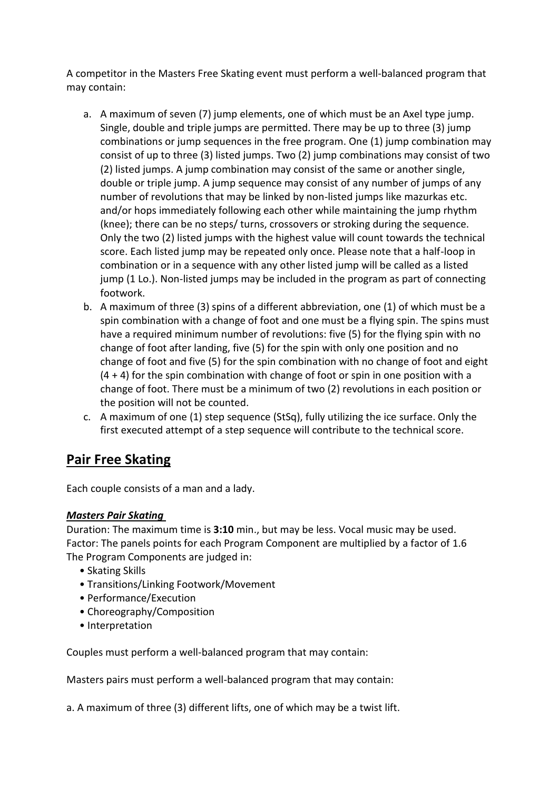A competitor in the Masters Free Skating event must perform a well-balanced program that may contain:

- a. A maximum of seven (7) jump elements, one of which must be an Axel type jump. Single, double and triple jumps are permitted. There may be up to three (3) jump combinations or jump sequences in the free program. One (1) jump combination may consist of up to three (3) listed jumps. Two (2) jump combinations may consist of two (2) listed jumps. A jump combination may consist of the same or another single, double or triple jump. A jump sequence may consist of any number of jumps of any number of revolutions that may be linked by non-listed jumps like mazurkas etc. and/or hops immediately following each other while maintaining the jump rhythm (knee); there can be no steps/ turns, crossovers or stroking during the sequence. Only the two (2) listed jumps with the highest value will count towards the technical score. Each listed jump may be repeated only once. Please note that a half-loop in combination or in a sequence with any other listed jump will be called as a listed jump (1 Lo.). Non-listed jumps may be included in the program as part of connecting footwork.
- b. A maximum of three (3) spins of a different abbreviation, one (1) of which must be a spin combination with a change of foot and one must be a flying spin. The spins must have a required minimum number of revolutions: five (5) for the flying spin with no change of foot after landing, five (5) for the spin with only one position and no change of foot and five (5) for the spin combination with no change of foot and eight  $(4 + 4)$  for the spin combination with change of foot or spin in one position with a change of foot. There must be a minimum of two (2) revolutions in each position or the position will not be counted.
- c. A maximum of one (1) step sequence (StSq), fully utilizing the ice surface. Only the first executed attempt of a step sequence will contribute to the technical score.

# **Pair Free Skating**

Each couple consists of a man and a lady.

## *Masters Pair Skating*

Duration: The maximum time is **3:10** min., but may be less. Vocal music may be used. Factor: The panels points for each Program Component are multiplied by a factor of 1.6 The Program Components are judged in:

- Skating Skills
- Transitions/Linking Footwork/Movement
- Performance/Execution
- Choreography/Composition
- Interpretation

Couples must perform a well-balanced program that may contain:

Masters pairs must perform a well-balanced program that may contain:

a. A maximum of three (3) different lifts, one of which may be a twist lift.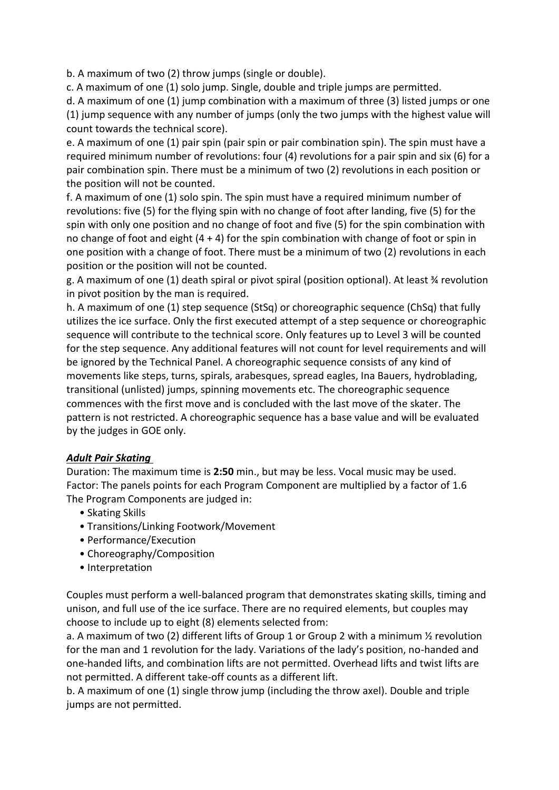b. A maximum of two (2) throw jumps (single or double).

c. A maximum of one (1) solo jump. Single, double and triple jumps are permitted.

d. A maximum of one (1) jump combination with a maximum of three (3) listed jumps or one (1) jump sequence with any number of jumps (only the two jumps with the highest value will count towards the technical score).

e. A maximum of one (1) pair spin (pair spin or pair combination spin). The spin must have a required minimum number of revolutions: four (4) revolutions for a pair spin and six (6) for a pair combination spin. There must be a minimum of two (2) revolutions in each position or the position will not be counted.

f. A maximum of one (1) solo spin. The spin must have a required minimum number of revolutions: five (5) for the flying spin with no change of foot after landing, five (5) for the spin with only one position and no change of foot and five (5) for the spin combination with no change of foot and eight  $(4 + 4)$  for the spin combination with change of foot or spin in one position with a change of foot. There must be a minimum of two (2) revolutions in each position or the position will not be counted.

g. A maximum of one (1) death spiral or pivot spiral (position optional). At least ¾ revolution in pivot position by the man is required.

h. A maximum of one (1) step sequence (StSq) or choreographic sequence (ChSq) that fully utilizes the ice surface. Only the first executed attempt of a step sequence or choreographic sequence will contribute to the technical score. Only features up to Level 3 will be counted for the step sequence. Any additional features will not count for level requirements and will be ignored by the Technical Panel. A choreographic sequence consists of any kind of movements like steps, turns, spirals, arabesques, spread eagles, Ina Bauers, hydroblading, transitional (unlisted) jumps, spinning movements etc. The choreographic sequence commences with the first move and is concluded with the last move of the skater. The pattern is not restricted. A choreographic sequence has a base value and will be evaluated by the judges in GOE only.

## *Adult Pair Skating*

Duration: The maximum time is **2:50** min., but may be less. Vocal music may be used. Factor: The panels points for each Program Component are multiplied by a factor of 1.6 The Program Components are judged in:

- Skating Skills
- Transitions/Linking Footwork/Movement
- Performance/Execution
- Choreography/Composition
- Interpretation

Couples must perform a well-balanced program that demonstrates skating skills, timing and unison, and full use of the ice surface. There are no required elements, but couples may choose to include up to eight (8) elements selected from:

a. A maximum of two (2) different lifts of Group 1 or Group 2 with a minimum ½ revolution for the man and 1 revolution for the lady. Variations of the lady's position, no-handed and one-handed lifts, and combination lifts are not permitted. Overhead lifts and twist lifts are not permitted. A different take-off counts as a different lift.

b. A maximum of one (1) single throw jump (including the throw axel). Double and triple jumps are not permitted.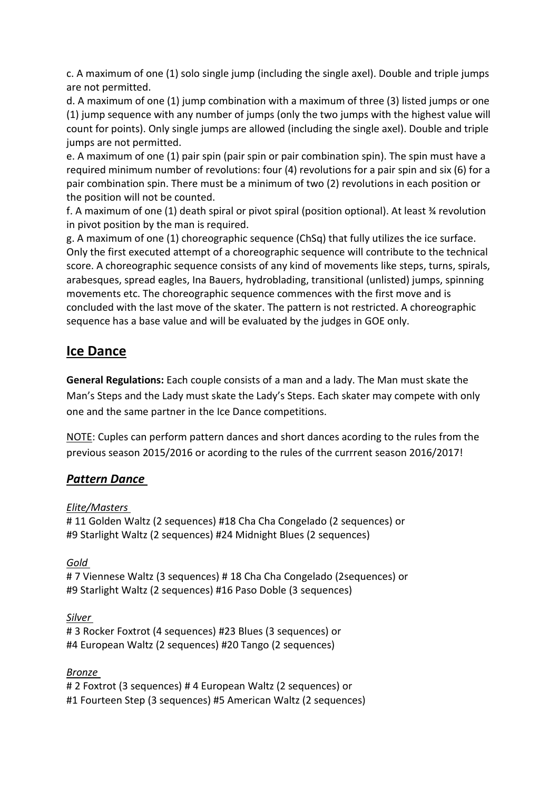c. A maximum of one (1) solo single jump (including the single axel). Double and triple jumps are not permitted.

d. A maximum of one (1) jump combination with a maximum of three (3) listed jumps or one (1) jump sequence with any number of jumps (only the two jumps with the highest value will count for points). Only single jumps are allowed (including the single axel). Double and triple jumps are not permitted.

e. A maximum of one (1) pair spin (pair spin or pair combination spin). The spin must have a required minimum number of revolutions: four (4) revolutions for a pair spin and six (6) for a pair combination spin. There must be a minimum of two (2) revolutions in each position or the position will not be counted.

f. A maximum of one (1) death spiral or pivot spiral (position optional). At least ¾ revolution in pivot position by the man is required.

g. A maximum of one (1) choreographic sequence (ChSq) that fully utilizes the ice surface. Only the first executed attempt of a choreographic sequence will contribute to the technical score. A choreographic sequence consists of any kind of movements like steps, turns, spirals, arabesques, spread eagles, Ina Bauers, hydroblading, transitional (unlisted) jumps, spinning movements etc. The choreographic sequence commences with the first move and is concluded with the last move of the skater. The pattern is not restricted. A choreographic sequence has a base value and will be evaluated by the judges in GOE only.

## **Ice Dance**

**General Regulations:** Each couple consists of a man and a lady. The Man must skate the Man's Steps and the Lady must skate the Lady's Steps. Each skater may compete with only one and the same partner in the Ice Dance competitions.

NOTE: Cuples can perform pattern dances and short dances acording to the rules from the previous season 2015/2016 or acording to the rules of the currrent season 2016/2017!

## *Pattern Dance*

*Elite/Masters* # 11 Golden Waltz (2 sequences) #18 Cha Cha Congelado (2 sequences) or #9 Starlight Waltz (2 sequences) #24 Midnight Blues (2 sequences)

*Gold* # 7 Viennese Waltz (3 sequences) # 18 Cha Cha Congelado (2sequences) or #9 Starlight Waltz (2 sequences) #16 Paso Doble (3 sequences)

*Silver* # 3 Rocker Foxtrot (4 sequences) #23 Blues (3 sequences) or #4 European Waltz (2 sequences) #20 Tango (2 sequences)

*Bronze* # 2 Foxtrot (3 sequences) # 4 European Waltz (2 sequences) or #1 Fourteen Step (3 sequences) #5 American Waltz (2 sequences)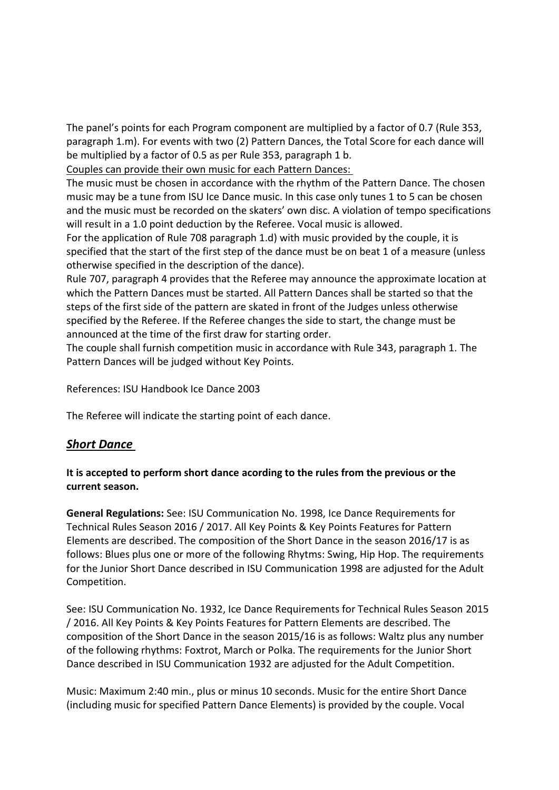The panel's points for each Program component are multiplied by a factor of 0.7 (Rule 353, paragraph 1.m). For events with two (2) Pattern Dances, the Total Score for each dance will be multiplied by a factor of 0.5 as per Rule 353, paragraph 1 b.

Couples can provide their own music for each Pattern Dances:

The music must be chosen in accordance with the rhythm of the Pattern Dance. The chosen music may be a tune from ISU Ice Dance music. In this case only tunes 1 to 5 can be chosen and the music must be recorded on the skaters' own disc. A violation of tempo specifications will result in a 1.0 point deduction by the Referee. Vocal music is allowed.

For the application of Rule 708 paragraph 1.d) with music provided by the couple, it is specified that the start of the first step of the dance must be on beat 1 of a measure (unless otherwise specified in the description of the dance).

Rule 707, paragraph 4 provides that the Referee may announce the approximate location at which the Pattern Dances must be started. All Pattern Dances shall be started so that the steps of the first side of the pattern are skated in front of the Judges unless otherwise specified by the Referee. If the Referee changes the side to start, the change must be announced at the time of the first draw for starting order.

The couple shall furnish competition music in accordance with Rule 343, paragraph 1. The Pattern Dances will be judged without Key Points.

References: ISU Handbook Ice Dance 2003

The Referee will indicate the starting point of each dance.

## *Short Dance*

## **It is accepted to perform short dance acording to the rules from the previous or the current season.**

**General Regulations:** See: ISU Communication No. 1998, Ice Dance Requirements for Technical Rules Season 2016 / 2017. All Key Points & Key Points Features for Pattern Elements are described. The composition of the Short Dance in the season 2016/17 is as follows: Blues plus one or more of the following Rhytms: Swing, Hip Hop. The requirements for the Junior Short Dance described in ISU Communication 1998 are adjusted for the Adult Competition.

See: ISU Communication No. 1932, Ice Dance Requirements for Technical Rules Season 2015 / 2016. All Key Points & Key Points Features for Pattern Elements are described. The composition of the Short Dance in the season 2015/16 is as follows: Waltz plus any number of the following rhythms: Foxtrot, March or Polka. The requirements for the Junior Short Dance described in ISU Communication 1932 are adjusted for the Adult Competition.

Music: Maximum 2:40 min., plus or minus 10 seconds. Music for the entire Short Dance (including music for specified Pattern Dance Elements) is provided by the couple. Vocal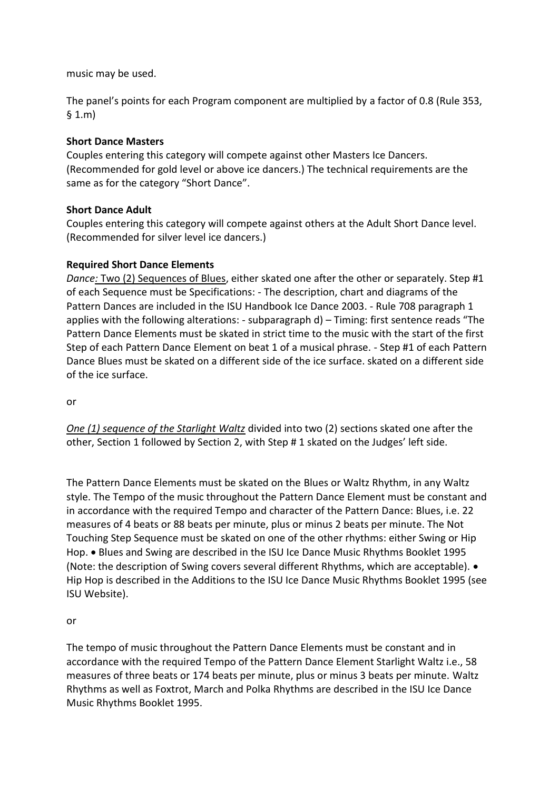music may be used.

The panel's points for each Program component are multiplied by a factor of 0.8 (Rule 353, § 1.m)

## **Short Dance Masters**

Couples entering this category will compete against other Masters Ice Dancers. (Recommended for gold level or above ice dancers.) The technical requirements are the same as for the category "Short Dance".

## **Short Dance Adult**

Couples entering this category will compete against others at the Adult Short Dance level. (Recommended for silver level ice dancers.)

## **Required Short Dance Elements**

*Dance:* Two (2) Sequences of Blues, either skated one after the other or separately. Step #1 of each Sequence must be Specifications: - The description, chart and diagrams of the Pattern Dances are included in the ISU Handbook Ice Dance 2003. - Rule 708 paragraph 1 applies with the following alterations: - subparagraph d) – Timing: first sentence reads "The Pattern Dance Elements must be skated in strict time to the music with the start of the first Step of each Pattern Dance Element on beat 1 of a musical phrase. - Step #1 of each Pattern Dance Blues must be skated on a different side of the ice surface. skated on a different side of the ice surface.

or

*One (1) sequence of the Starlight Waltz* divided into two (2) sections skated one after the other, Section 1 followed by Section 2, with Step # 1 skated on the Judges' left side.

The Pattern Dance Elements must be skated on the Blues or Waltz Rhythm, in any Waltz style. The Tempo of the music throughout the Pattern Dance Element must be constant and in accordance with the required Tempo and character of the Pattern Dance: Blues, i.e. 22 measures of 4 beats or 88 beats per minute, plus or minus 2 beats per minute. The Not Touching Step Sequence must be skated on one of the other rhythms: either Swing or Hip Hop. • Blues and Swing are described in the ISU Ice Dance Music Rhythms Booklet 1995 (Note: the description of Swing covers several different Rhythms, which are acceptable). Hip Hop is described in the Additions to the ISU Ice Dance Music Rhythms Booklet 1995 (see ISU Website).

## or

The tempo of music throughout the Pattern Dance Elements must be constant and in accordance with the required Tempo of the Pattern Dance Element Starlight Waltz i.e., 58 measures of three beats or 174 beats per minute, plus or minus 3 beats per minute. Waltz Rhythms as well as Foxtrot, March and Polka Rhythms are described in the ISU Ice Dance Music Rhythms Booklet 1995.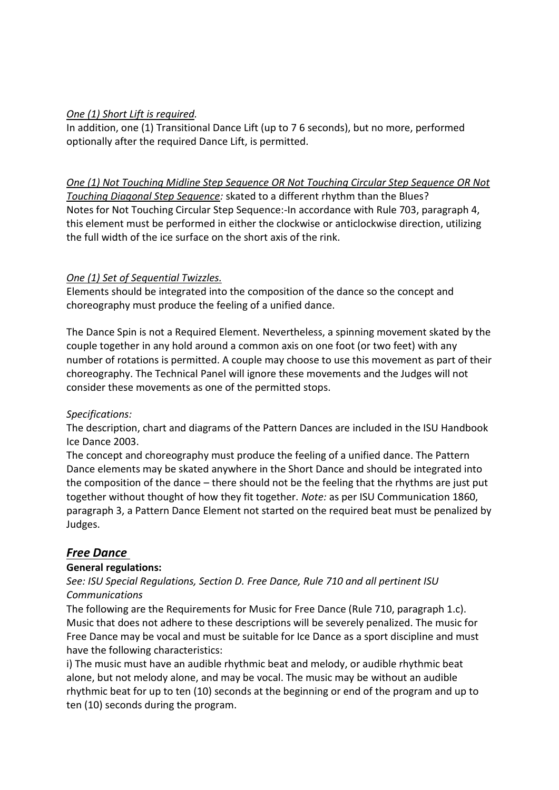## *One (1) Short Lift is required.*

In addition, one (1) Transitional Dance Lift (up to 7 6 seconds), but no more, performed optionally after the required Dance Lift, is permitted.

*One (1) Not Touching Midline Step Sequence OR Not Touching Circular Step Sequence OR Not* 

*Touching Diagonal Step Sequence:* skated to a different rhythm than the Blues? Notes for Not Touching Circular Step Sequence:-In accordance with Rule 703, paragraph 4, this element must be performed in either the clockwise or anticlockwise direction, utilizing the full width of the ice surface on the short axis of the rink.

## *One (1) Set of Sequential Twizzles.*

Elements should be integrated into the composition of the dance so the concept and choreography must produce the feeling of a unified dance.

The Dance Spin is not a Required Element. Nevertheless, a spinning movement skated by the couple together in any hold around a common axis on one foot (or two feet) with any number of rotations is permitted. A couple may choose to use this movement as part of their choreography. The Technical Panel will ignore these movements and the Judges will not consider these movements as one of the permitted stops.

## *Specifications:*

The description, chart and diagrams of the Pattern Dances are included in the ISU Handbook Ice Dance 2003.

The concept and choreography must produce the feeling of a unified dance. The Pattern Dance elements may be skated anywhere in the Short Dance and should be integrated into the composition of the dance – there should not be the feeling that the rhythms are just put together without thought of how they fit together. *Note:* as per ISU Communication 1860, paragraph 3, a Pattern Dance Element not started on the required beat must be penalized by Judges.

## *Free Dance*

## **General regulations:**

## *See: ISU Special Regulations, Section D. Free Dance, Rule 710 and all pertinent ISU Communications*

The following are the Requirements for Music for Free Dance (Rule 710, paragraph 1.c). Music that does not adhere to these descriptions will be severely penalized. The music for Free Dance may be vocal and must be suitable for Ice Dance as a sport discipline and must have the following characteristics:

i) The music must have an audible rhythmic beat and melody, or audible rhythmic beat alone, but not melody alone, and may be vocal. The music may be without an audible rhythmic beat for up to ten (10) seconds at the beginning or end of the program and up to ten (10) seconds during the program.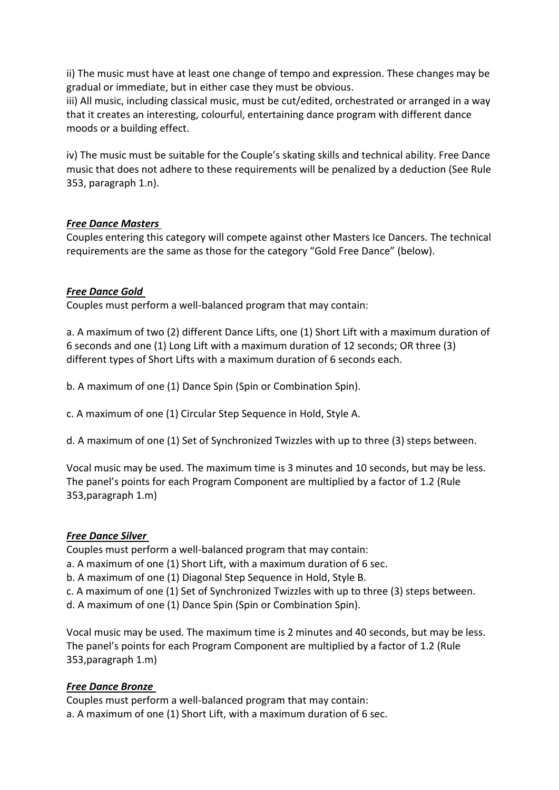ii) The music must have at least one change of tempo and expression. These changes may be gradual or immediate, but in either case they must be obvious.

iii) All music, including classical music, must be cut/edited, orchestrated or arranged in a way that it creates an interesting, colourful, entertaining dance program with different dance moods or a building effect.

iv) The music must be suitable for the Couple's skating skills and technical ability. Free Dance music that does not adhere to these requirements will be penalized by a deduction (See Rule 353, paragraph 1.n).

## *Free Dance Masters*

Couples entering this category will compete against other Masters Ice Dancers. The technical requirements are the same as those for the category "Gold Free Dance" (below).

## *Free Dance Gold*

Couples must perform a well-balanced program that may contain:

a. A maximum of two (2) different Dance Lifts, one (1) Short Lift with a maximum duration of 6 seconds and one (1) Long Lift with a maximum duration of 12 seconds; OR three (3) different types of Short Lifts with a maximum duration of 6 seconds each.

b. A maximum of one (1) Dance Spin (Spin or Combination Spin).

c. A maximum of one (1) Circular Step Sequence in Hold, Style A.

d. A maximum of one (1) Set of Synchronized Twizzles with up to three (3) steps between.

Vocal music may be used. The maximum time is 3 minutes and 10 seconds, but may be less. The panel's points for each Program Component are multiplied by a factor of 1.2 (Rule 353,paragraph 1.m)

## *Free Dance Silver*

Couples must perform a well-balanced program that may contain:

a. A maximum of one (1) Short Lift, with a maximum duration of 6 sec.

b. A maximum of one (1) Diagonal Step Sequence in Hold, Style B.

c. A maximum of one (1) Set of Synchronized Twizzles with up to three (3) steps between.

d. A maximum of one (1) Dance Spin (Spin or Combination Spin).

Vocal music may be used. The maximum time is 2 minutes and 40 seconds, but may be less. The panel's points for each Program Component are multiplied by a factor of 1.2 (Rule 353,paragraph 1.m)

## *Free Dance Bronze*

Couples must perform a well-balanced program that may contain: a. A maximum of one (1) Short Lift, with a maximum duration of 6 sec.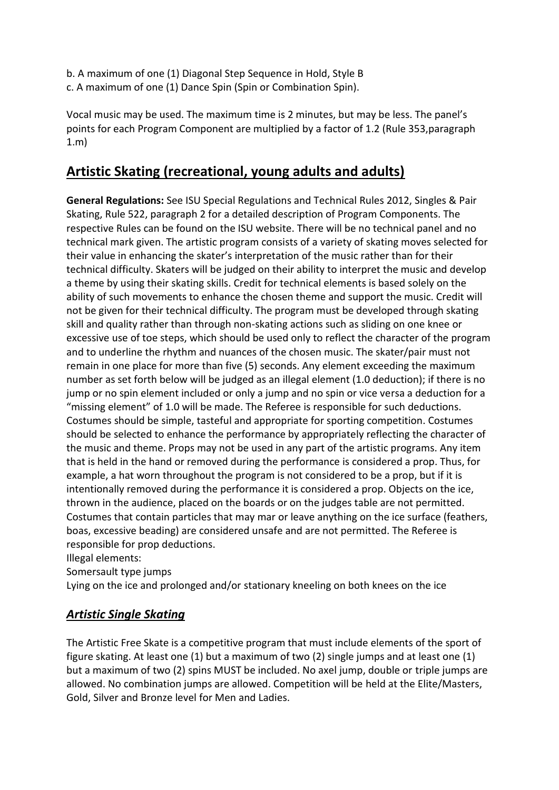- b. A maximum of one (1) Diagonal Step Sequence in Hold, Style B
- c. A maximum of one (1) Dance Spin (Spin or Combination Spin).

Vocal music may be used. The maximum time is 2 minutes, but may be less. The panel's points for each Program Component are multiplied by a factor of 1.2 (Rule 353,paragraph 1.m)

## **Artistic Skating (recreational, young adults and adults)**

**General Regulations:** See ISU Special Regulations and Technical Rules 2012, Singles & Pair Skating, Rule 522, paragraph 2 for a detailed description of Program Components. The respective Rules can be found on the ISU website. There will be no technical panel and no technical mark given. The artistic program consists of a variety of skating moves selected for their value in enhancing the skater's interpretation of the music rather than for their technical difficulty. Skaters will be judged on their ability to interpret the music and develop a theme by using their skating skills. Credit for technical elements is based solely on the ability of such movements to enhance the chosen theme and support the music. Credit will not be given for their technical difficulty. The program must be developed through skating skill and quality rather than through non-skating actions such as sliding on one knee or excessive use of toe steps, which should be used only to reflect the character of the program and to underline the rhythm and nuances of the chosen music. The skater/pair must not remain in one place for more than five (5) seconds. Any element exceeding the maximum number as set forth below will be judged as an illegal element (1.0 deduction); if there is no jump or no spin element included or only a jump and no spin or vice versa a deduction for a "missing element" of 1.0 will be made. The Referee is responsible for such deductions. Costumes should be simple, tasteful and appropriate for sporting competition. Costumes should be selected to enhance the performance by appropriately reflecting the character of the music and theme. Props may not be used in any part of the artistic programs. Any item that is held in the hand or removed during the performance is considered a prop. Thus, for example, a hat worn throughout the program is not considered to be a prop, but if it is intentionally removed during the performance it is considered a prop. Objects on the ice, thrown in the audience, placed on the boards or on the judges table are not permitted. Costumes that contain particles that may mar or leave anything on the ice surface (feathers, boas, excessive beading) are considered unsafe and are not permitted. The Referee is responsible for prop deductions.

Illegal elements:

Somersault type jumps

Lying on the ice and prolonged and/or stationary kneeling on both knees on the ice

## *Artistic Single Skating*

The Artistic Free Skate is a competitive program that must include elements of the sport of figure skating. At least one (1) but a maximum of two (2) single jumps and at least one (1) but a maximum of two (2) spins MUST be included. No axel jump, double or triple jumps are allowed. No combination jumps are allowed. Competition will be held at the Elite/Masters, Gold, Silver and Bronze level for Men and Ladies.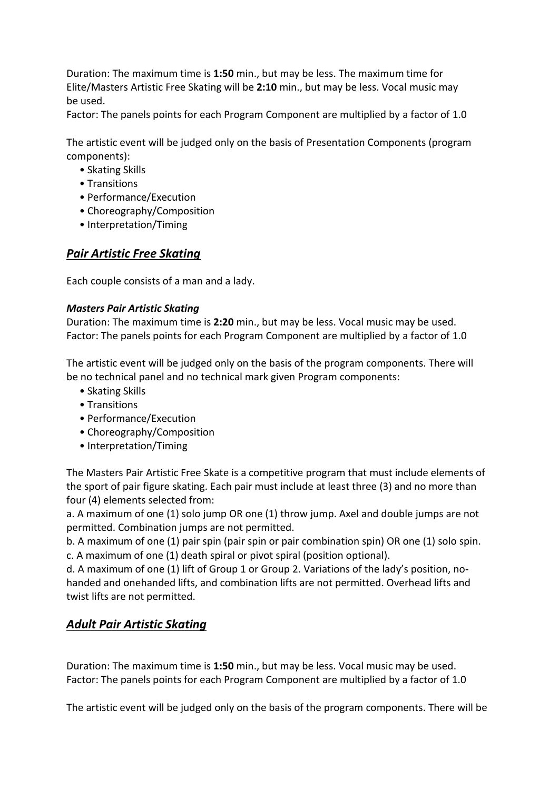Duration: The maximum time is **1:50** min., but may be less. The maximum time for Elite/Masters Artistic Free Skating will be **2:10** min., but may be less. Vocal music may be used.

Factor: The panels points for each Program Component are multiplied by a factor of 1.0

The artistic event will be judged only on the basis of Presentation Components (program components):

- Skating Skills
- Transitions
- Performance/Execution
- Choreography/Composition
- Interpretation/Timing

## *Pair Artistic Free Skating*

Each couple consists of a man and a lady.

#### *Masters Pair Artistic Skating*

Duration: The maximum time is **2:20** min., but may be less. Vocal music may be used. Factor: The panels points for each Program Component are multiplied by a factor of 1.0

The artistic event will be judged only on the basis of the program components. There will be no technical panel and no technical mark given Program components:

- Skating Skills
- Transitions
- Performance/Execution
- Choreography/Composition
- Interpretation/Timing

The Masters Pair Artistic Free Skate is a competitive program that must include elements of the sport of pair figure skating. Each pair must include at least three (3) and no more than four (4) elements selected from:

a. A maximum of one (1) solo jump OR one (1) throw jump. Axel and double jumps are not permitted. Combination jumps are not permitted.

b. A maximum of one (1) pair spin (pair spin or pair combination spin) OR one (1) solo spin. c. A maximum of one (1) death spiral or pivot spiral (position optional).

d. A maximum of one (1) lift of Group 1 or Group 2. Variations of the lady's position, nohanded and onehanded lifts, and combination lifts are not permitted. Overhead lifts and twist lifts are not permitted.

## *Adult Pair Artistic Skating*

Duration: The maximum time is **1:50** min., but may be less. Vocal music may be used. Factor: The panels points for each Program Component are multiplied by a factor of 1.0

The artistic event will be judged only on the basis of the program components. There will be